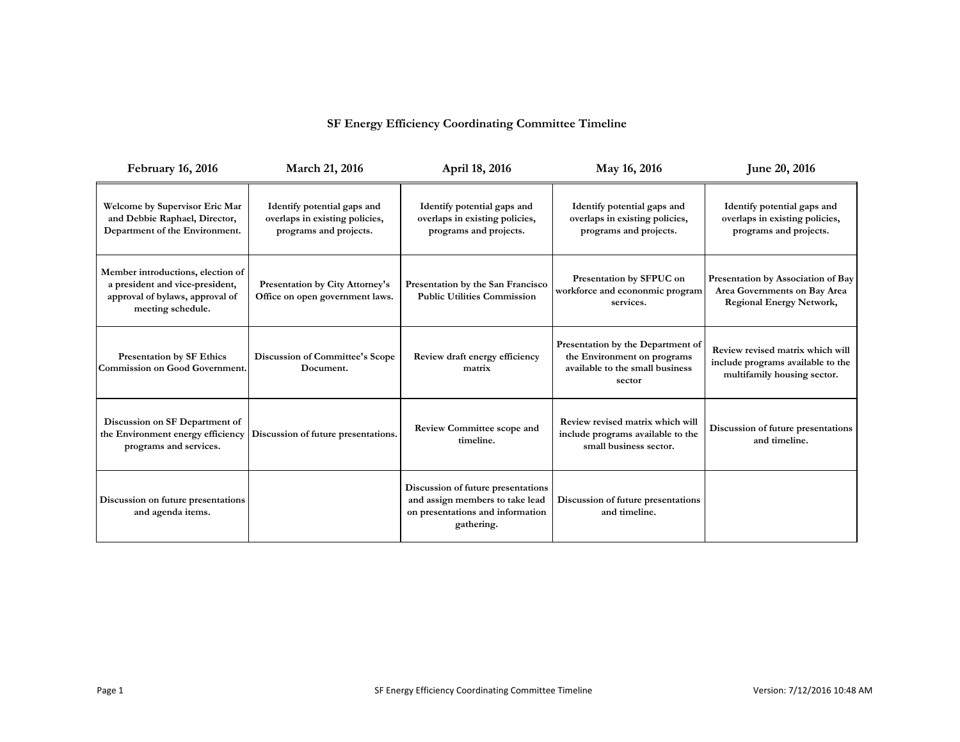## **SF Energy Efficiency Coordinating Committee Timeline**

| <b>February 16, 2016</b>                                                                                                     | March 21, 2016                                                                          | April 18, 2016                                                                                                          | May 16, 2016                                                                                                  | June 20, 2016                                                                                         |
|------------------------------------------------------------------------------------------------------------------------------|-----------------------------------------------------------------------------------------|-------------------------------------------------------------------------------------------------------------------------|---------------------------------------------------------------------------------------------------------------|-------------------------------------------------------------------------------------------------------|
| Welcome by Supervisor Eric Mar<br>and Debbie Raphael, Director,<br>Department of the Environment.                            | Identify potential gaps and<br>overlaps in existing policies,<br>programs and projects. | Identify potential gaps and<br>overlaps in existing policies,<br>programs and projects.                                 | Identify potential gaps and<br>overlaps in existing policies,<br>programs and projects.                       | Identify potential gaps and<br>overlaps in existing policies,<br>programs and projects.               |
| Member introductions, election of<br>a president and vice-president,<br>approval of bylaws, approval of<br>meeting schedule. | Presentation by City Attorney's<br>Office on open government laws.                      | Presentation by the San Francisco<br><b>Public Utilities Commission</b>                                                 | Presentation by SFPUC on<br>workforce and econonmic program<br>services.                                      | Presentation by Association of Bay<br>Area Governments on Bay Area<br><b>Regional Energy Network,</b> |
| Presentation by SF Ethics<br>Commission on Good Government.                                                                  | Discussion of Committee's Scope<br>Document.                                            | Review draft energy efficiency<br>matrix                                                                                | Presentation by the Department of<br>the Environment on programs<br>available to the small business<br>sector | Review revised matrix which will<br>include programs available to the<br>multifamily housing sector.  |
| Discussion on SF Department of<br>the Environment energy efficiency<br>programs and services.                                | Discussion of future presentations.                                                     | <b>Review Committee scope and</b><br>timeline.                                                                          | Review revised matrix which will<br>include programs available to the<br>small business sector.               | Discussion of future presentations<br>and timeline.                                                   |
| Discussion on future presentations<br>and agenda items.                                                                      |                                                                                         | Discussion of future presentations<br>and assign members to take lead<br>on presentations and information<br>gathering. | Discussion of future presentations<br>and timeline.                                                           |                                                                                                       |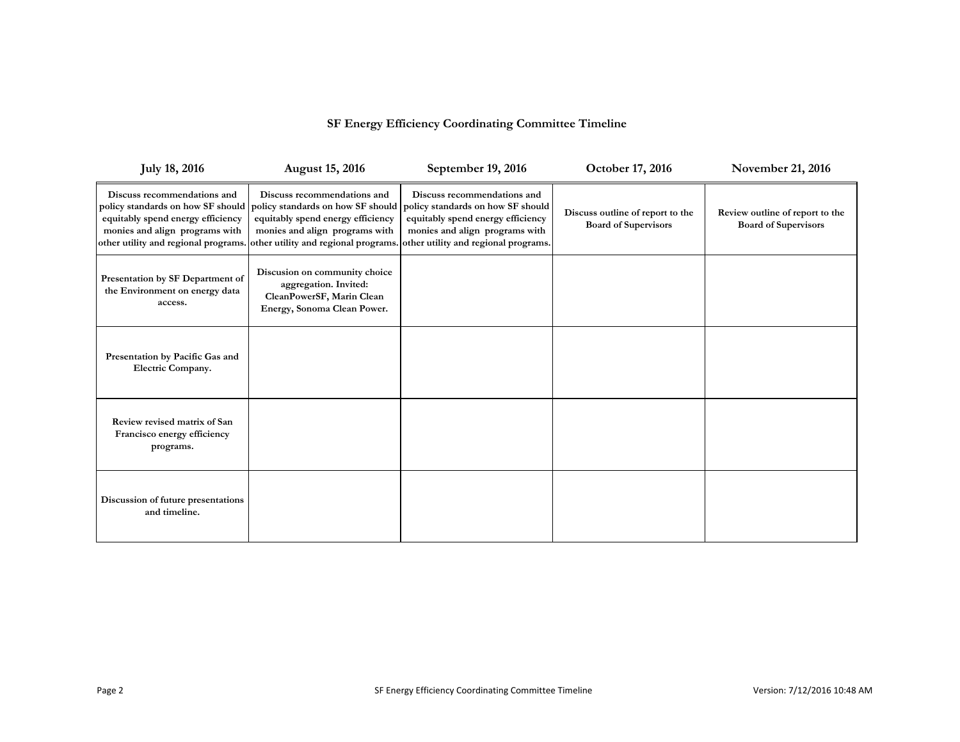## **SF Energy Efficiency Coordinating Committee Timeline**

| <b>July 18, 2016</b>                                                                                                                       | <b>August 15, 2016</b>                                                                                                                                                    | September 19, 2016                                                                                                                                                                                                   | October 17, 2016                                                | November 21, 2016                                              |
|--------------------------------------------------------------------------------------------------------------------------------------------|---------------------------------------------------------------------------------------------------------------------------------------------------------------------------|----------------------------------------------------------------------------------------------------------------------------------------------------------------------------------------------------------------------|-----------------------------------------------------------------|----------------------------------------------------------------|
| Discuss recommendations and<br>equitably spend energy efficiency<br>monies and align programs with<br>other utility and regional programs. | Discuss recommendations and<br>policy standards on how SF should policy standards on how SF should<br>equitably spend energy efficiency<br>monies and align programs with | Discuss recommendations and<br>policy standards on how SF should<br>equitably spend energy efficiency<br>monies and align programs with<br>other utility and regional programs. other utility and regional programs. | Discuss outline of report to the<br><b>Board of Supervisors</b> | Review outline of report to the<br><b>Board of Supervisors</b> |
| Presentation by SF Department of<br>the Environment on energy data<br>access.                                                              | Discusion on community choice<br>aggregation. Invited:<br>CleanPowerSF, Marin Clean<br>Energy, Sonoma Clean Power.                                                        |                                                                                                                                                                                                                      |                                                                 |                                                                |
| Presentation by Pacific Gas and<br>Electric Company.                                                                                       |                                                                                                                                                                           |                                                                                                                                                                                                                      |                                                                 |                                                                |
| Review revised matrix of San<br>Francisco energy efficiency<br>programs.                                                                   |                                                                                                                                                                           |                                                                                                                                                                                                                      |                                                                 |                                                                |
| Discussion of future presentations<br>and timeline.                                                                                        |                                                                                                                                                                           |                                                                                                                                                                                                                      |                                                                 |                                                                |